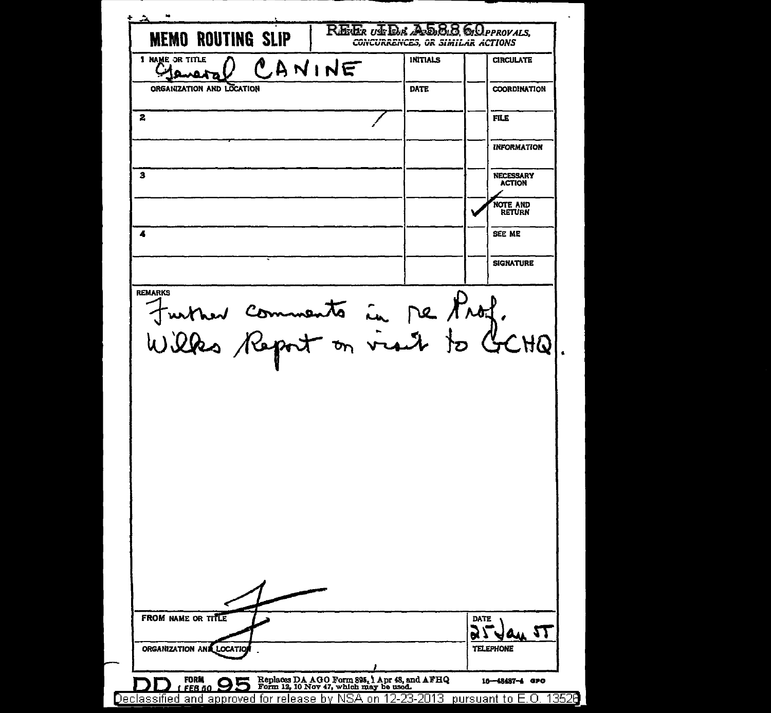| <b>MEMO ROUTING SLIP</b><br>1 NAME OR TITLE                                     |        | CONCURRENCES, OR SIMILAR ACTIONS<br><b>INITIALS</b> |      | <b>CIRCULATE</b>                  |
|---------------------------------------------------------------------------------|--------|-----------------------------------------------------|------|-----------------------------------|
|                                                                                 | CANINE |                                                     |      |                                   |
| ORGANIZATION AND LOCATION                                                       |        | <b>DATE</b>                                         |      | <b>COORDINATION</b>               |
| 2                                                                               |        |                                                     |      | FILE                              |
|                                                                                 |        |                                                     |      | <b>INFORMATION</b>                |
| з                                                                               |        |                                                     |      | <b>NECESSARY</b><br><b>ACTION</b> |
|                                                                                 |        |                                                     |      | NOTE AND<br><b>RETURN</b>         |
| 4                                                                               |        |                                                     |      | SEE ME                            |
|                                                                                 |        |                                                     |      | <b>SIGNATURE</b>                  |
| <b>REMARKS</b><br>turner comments in me Prof.<br>Wilks Report on visit to GCHQ. |        |                                                     |      |                                   |
|                                                                                 |        |                                                     |      |                                   |
|                                                                                 |        |                                                     |      |                                   |
| FROM NAME OR TITLE                                                              |        |                                                     | DATE |                                   |